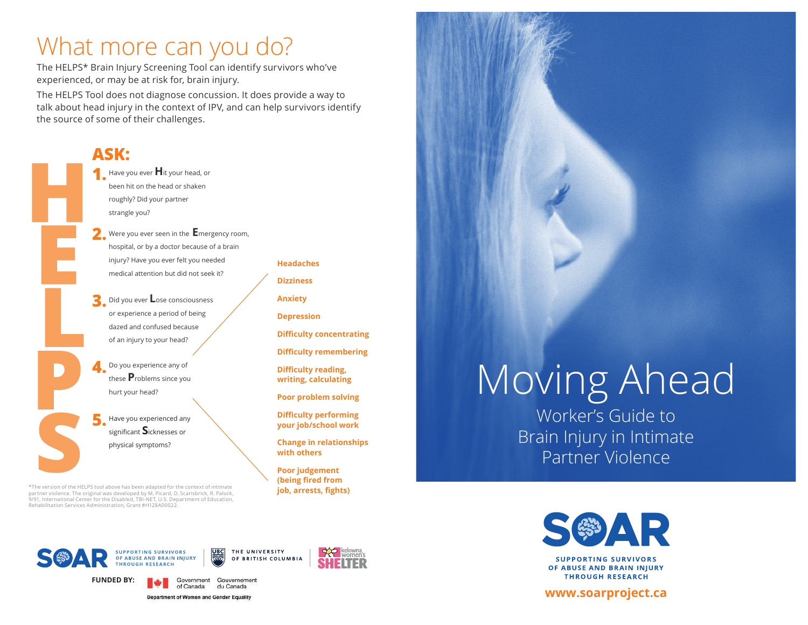## What more can you do?

The HELPS\* Brain Injury Screening Tool can identify survivors who've experienced, or may be at risk for, brain injury.

The HELPS Tool does not diagnose concussion. It does provide a way to talk about head injury in the context of IPV, and can help survivors identify the source of some of their challenges.



\*The version of the HELPS tool above has been adapted for the context of intimate partner violence. The original was developed by M. Picard, D. Scarisbrick, R. Paluck, 9/91, International Center for the Disabled, TBI-NET, U.S. Department of Education, Rehabilitation Services Administration, Grant #H128A00022.

**Headaches Dizziness Anxiety**

**Depression**

**Difficulty concentrating**

**Difficulty remembering**

**Difficulty reading, writing, calculating**

**Poor problem solving** 

**Difficulty performing your job/school work** 

**Change in relationships with others**

**Poor judgement (being fired from job, arrests, fights)**

# Moving Ahead

Worker's Guide to Brain Injury in Intimate Partner Violence



**SUPPORTING SURVIVORS** OF ABUSE AND BRAIN INJURY **THROUGH RESEARCH** 

### **www.soarproject.ca**





du Canada

Government Gouvernement



**FUNDED BY:**

Department of Women and Gender Equality

of Canada